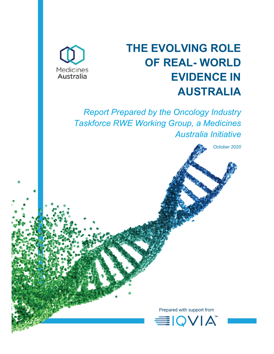

# THE EVOLVING ROLE OF REAL- WORLD EVIDENCE IN AUSTRALIA

Report Prepared by the Oncology Industry Taskforce RWE Working Group, a Medicines Australia Initiative

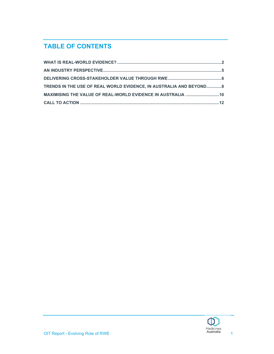# TABLE OF CONTENTS

| TRENDS IN THE USE OF REAL WORLD EVIDENCE, IN AUSTRALIA AND BEYOND8 |  |
|--------------------------------------------------------------------|--|
| MAXIMISING THE VALUE OF REAL-WORLD EVIDENCE IN AUSTRALIA  10       |  |
|                                                                    |  |

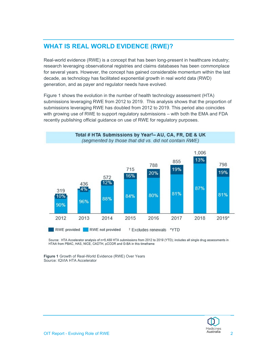## WHAT IS REAL WORLD EVIDENCE (RWE)?

Real-world evidence (RWE) is a concept that has been long-present in healthcare industry; research leveraging observational registries and claims databases has been commonplace for several years. However, the concept has gained considerable momentum within the last decade, as technology has facilitated exponential growth in real world data (RWD) generation, and as payer and regulator needs have evolved.

Figure 1 shows the evolution in the number of health technology assessment (HTA) submissions leveraging RWE from 2012 to 2019. This analysis shows that the proportion of submissions leveraging RWE has doubled from 2012 to 2019. This period also coincides with growing use of RWE to support regulatory submissions – with both the EMA and FDA recently publishing official guidance on use of RWE for regulatory purposes.



Source: HTA Accelerator analysis of n=5,489 HTA submissions from 2012 to 2019 (YTD); includes all single drug assessments in HTAA from PBAC, HAS, NICE, CADTH, pCODR and G-BA in this timeframe

Figure 1 Growth of Real-World Evidence (RWE) Over Years Source: IQVIA HTA Accelerator

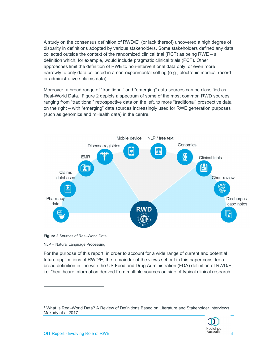A study on the consensus definition of  $\mathsf{RWD}/\mathsf{E}^1$  (or lack thereof) uncovered a high degree of disparity in definitions adopted by various stakeholders. Some stakeholders defined any data collected outside the context of the randomized clinical trial (RCT) as being RWE – a definition which, for example, would include pragmatic clinical trials (PCT). Other approaches limit the definition of RWE to non-interventional data only, or even more narrowly to only data collected in a non-experimental setting (e.g., electronic medical record or administrative / claims data).

Moreover, a broad range of "traditional" and "emerging" data sources can be classified as Real-World Data. Figure 2 depicts a spectrum of some of the most common RWD sources, ranging from "traditional" retrospective data on the left, to more "traditional" prospective data on the right – with "emerging" data sources increasingly used for RWE generation purposes (such as genomics and mHealth data) in the centre.





NLP = Natural Language Processing

For the purpose of this report, in order to account for a wide range of current and potential future applications of RWD/E, the remainder of the views set out in this paper consider a broad definition in line with the US Food and Drug Administration (FDA) definition of RWD/E, i.e. "healthcare information derived from multiple sources outside of typical clinical research

<sup>1</sup> What Is Real-World Data? A Review of Definitions Based on Literature and Stakeholder Interviews, Makady et al 2017

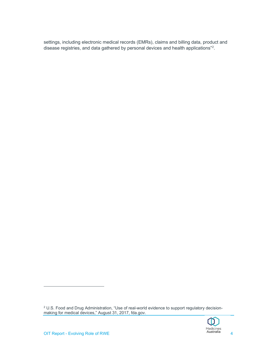settings, including electronic medical records (EMRs), claims and billing data, product and disease registries, and data gathered by personal devices and health applications"<sup>2</sup>.

 $^2$  U.S. Food and Drug Administration, "Use of real-world evidence to support regulatory decisionmaking for medical devices," August 31, 2017, fda.gov.

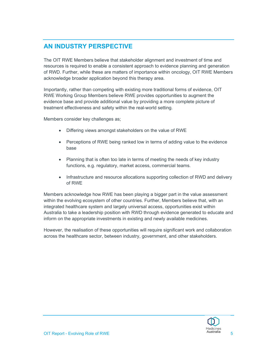# AN INDUSTRY PERSPECTIVE

The OIT RWE Members believe that stakeholder alignment and investment of time and resources is required to enable a consistent approach to evidence planning and generation of RWD. Further, while these are matters of importance within oncology, OIT RWE Members acknowledge broader application beyond this therapy area.

Importantly, rather than competing with existing more traditional forms of evidence, OIT RWE Working Group Members believe RWE provides opportunities to augment the evidence base and provide additional value by providing a more complete picture of treatment effectiveness and safety within the real-world setting.

Members consider key challenges as;

- Differing views amongst stakeholders on the value of RWE
- Perceptions of RWE being ranked low in terms of adding value to the evidence base
- Planning that is often too late in terms of meeting the needs of key industry functions, e.g. regulatory, market access, commercial teams.
- Infrastructure and resource allocations supporting collection of RWD and delivery of RWE

Members acknowledge how RWE has been playing a bigger part in the value assessment within the evolving ecosystem of other countries. Further, Members believe that, with an integrated healthcare system and largely universal access, opportunities exist within Australia to take a leadership position with RWD through evidence generated to educate and inform on the appropriate investments in existing and newly available medicines.

However, the realisation of these opportunities will require significant work and collaboration across the healthcare sector, between industry, government, and other stakeholders.

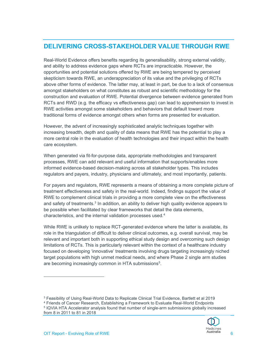#### DELIVERING CROSS-STAKEHOLDER VALUE THROUGH RWE

Real-World Evidence offers benefits regarding its generalisability, strong external validity, and ability to address evidence gaps where RCTs are impracticable. However, the opportunities and potential solutions offered by RWE are being tempered by perceived skepticism towards RWE, an underappreciation of its value and the privileging of RCTs above other forms of evidence. The latter may, at least in part, be due to a lack of consensus amongst stakeholders on what constitutes as robust and scientific methodology for the construction and evaluation of RWE. Potential divergence between evidence generated from RCTs and RWD (e.g. the efficacy vs effectiveness gap) can lead to apprehension to invest in RWE activities amongst some stakeholders and behaviors that default toward more traditional forms of evidence amongst others when forms are presented for evaluation.

However, the advent of increasingly sophisticated analytic techniques together with increasing breadth, depth and quality of data means that RWE has the potential to play a more central role in the evaluation of health technologies and their impact within the health care ecosystem.

When generated via fit-for-purpose data, appropriate methodologies and transparent processes, RWE can add relevant and useful information that supports/enables more informed evidence-based decision-making across all stakeholder types. This includes regulators and payers, industry, physicians and ultimately, and most importantly, patients.

For payers and regulators, RWE represents a means of obtaining a more complete picture of treatment effectiveness and safety in the real-world. Indeed, findings support the value of RWE to complement clinical trials in providing a more complete view on the effectiveness and safety of treatments.<sup>3</sup> In addition, an ability to deliver high quality evidence appears to be possible when facilitated by clear frameworks that detail the data elements, characteristics, and the internal validation processes used.<sup>4</sup>

While RWE is unlikely to replace RCT-generated evidence where the latter is available, its role in the triangulation of difficult to deliver clinical outcomes, e.g. overall survival, may be relevant and important both in supporting ethical study design and overcoming such design limitations of RCTs. This is particularly relevant within the context of a healthcare industry focused on developing 'innovative' treatments involving drugs targeting increasingly niched target populations with high unmet medical needs, and where Phase 2 single arm studies are becoming increasingly common in HTA submissions<sup>5</sup>.

<sup>4</sup> Friends of Cancer Research, Establishing a Framework to Evaluate Real-World Endpoints 5 IQVIA HTA Accelerator analysis found that number of single-arm submissions globally increased from 8 in 2011 to 81 in 2018



<sup>3</sup> Feasibility of Using Real-World Data to Replicate Clinical Trial Evidence, Bartlett et al 2019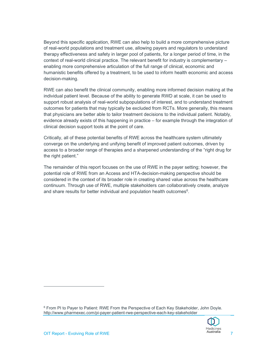Beyond this specific application, RWE can also help to build a more comprehensive picture of real-world populations and treatment use, allowing payers and regulators to understand therapy effectiveness and safety in larger pool of patients, for a longer period of time, in the context of real-world clinical practice. The relevant benefit for industry is complementary – enabling more comprehensive articulation of the full range of clinical, economic and humanistic benefits offered by a treatment, to be used to inform health economic and access decision-making.

RWE can also benefit the clinical community, enabling more informed decision making at the individual patient level. Because of the ability to generate RWD at scale, it can be used to support robust analysis of real-world subpopulations of interest, and to understand treatment outcomes for patients that may typically be excluded from RCTs. More generally, this means that physicians are better able to tailor treatment decisions to the individual patient. Notably, evidence already exists of this happening in practice – for example through the integration of clinical decision support tools at the point of care.

Critically, all of these potential benefits of RWE across the healthcare system ultimately converge on the underlying and unifying benefit of improved patient outcomes, driven by access to a broader range of therapies and a sharpened understanding of the "right drug for the right patient."

The remainder of this report focuses on the use of RWE in the payer setting; however, the potential role of RWE from an Access and HTA-decision-making perspective should be considered in the context of its broader role in creating shared value across the healthcare continuum. Through use of RWE, multiple stakeholders can collaboratively create, analyze and share results for better individual and population health outcomes<sup>6</sup>.

6 From PI to Payer to Patient: RWE From the Perspective of Each Key Stakeholder, John Doyle. http://www.pharmexec.com/pi-payer-patient-rwe-perspective-each-key-stakeholder

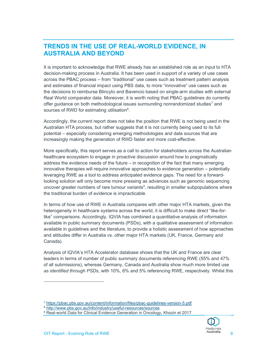#### TRENDS IN THE USE OF REAL-WORLD EVIDENCE, IN AUSTRALIA AND BEYOND

It is important to acknowledge that RWE already has an established role as an input to HTA decision-making process in Australia. It has been used in support of a variety of use cases across the PBAC process – from "traditional" use cases such as treatment pattern analysis and estimates of financial impact using PBS data, to more "innovative" use cases such as the decisions to reimburse Blincyto and Bavencio based on single-arm studies with external Real World comparator data. Moreover, it is worth noting that PBAC guidelines do currently offer guidance on both methodological issues surrounding nonrandomized studies<sup>7</sup> and sources of RWD for estimating utilisation<sup>8</sup>.

Accordingly, the current report does not take the position that RWE is not being used in the Australian HTA process, but rather suggests that it is not currently being used to its full potential – especially considering emerging methodologies and data sources that are increasingly making the generation of RWD faster and more cost-effective.

More specifically, this report serves as a call to action for stakeholders across the Australian healthcare ecosystem to engage in proactive discussion around how to pragmatically address the evidence needs of the future – in recognition of the fact that many emerging innovative therapies will require innovative approaches to evidence generation – potentially leveraging RWE as a tool to address anticipated evidence gaps. The need for a forwardlooking solution will only become more pressing as advances such as genomic sequencing uncover greater numbers of rare tumour variants<sup>9</sup>, resulting in smaller subpopulations where the traditional burden of evidence is impracticable.

In terms of how use of RWE in Australia compares with other major HTA markets, given the heterogeneity in healthcare systems across the world, it is difficult to make direct "like-forlike" comparisons. Accordingly, IQVIA has combined a quantitative analysis of information available in public summary documents (PSDs), with a qualitative assessment of information available in guidelines and the literature, to provide a holistic assessment of how approaches and attitudes differ in Australia vs. other major HTA markets (UK, France, Germany and Canada).

Analysis of IQVIA's HTA Accelerator database shows that the UK and France are clear leaders in terms of number of public summary documents referencing RWE (55% and 47% of all submissions), whereas Germany, Canada and Australia show much more limited use as identified through PSDs, with 10%, 6% and 5% referencing RWE, respectively. Whilst this

<sup>&</sup>lt;sup>9</sup> Real-world Data for Clinical Evidence Generation in Oncology, Khozin et 2017



<sup>7</sup> https://pbac.pbs.gov.au/content/information/files/pbac-guidelines-version-5.pdf

<sup>8</sup> http://www.pbs.gov.au/info/industry/useful-resources/sources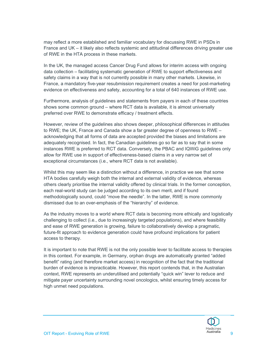may reflect a more established and familiar vocabulary for discussing RWE in PSDs in France and UK – it likely also reflects systemic and attitudinal differences driving greater use of RWE in the HTA process in these markets.

In the UK, the managed access Cancer Drug Fund allows for interim access with ongoing data collection – facilitating systematic generation of RWE to support effectiveness and safety claims in a way that is not currently possible in many other markets. Likewise, in France, a mandatory five-year resubmission requirement creates a need for post-marketing evidence on effectiveness and safety, accounting for a total of 640 instances of RWE use.

Furthermore, analysis of guidelines and statements from payers in each of these countries shows some common ground – where RCT data is available, it is almost universally preferred over RWE to demonstrate efficacy / treatment effects.

However, review of the guidelines also shows deeper, philosophical differences in attitudes to RWE; the UK, France and Canada show a far greater degree of openness to RWE – acknowledging that all forms of data are accepted provided the biases and limitations are adequately recognised. In fact, the Canadian guidelines go so far as to say that in some instances RWE is preferred to RCT data. Conversely, the PBAC and IQWiG guidelines only allow for RWE use in support of effectiveness-based claims in a very narrow set of exceptional circumstances (i.e., where RCT data is not available).

Whilst this may seem like a distinction without a difference, in practice we see that some HTA bodies carefully weigh both the internal and external validity of evidence, whereas others clearly prioritise the internal validity offered by clinical trials. In the former conception, each real-world study can be judged according to its own merit, and if found methodologically sound, could "move the needle". In the latter, RWE is more commonly dismissed due to an over-emphasis of the "hierarchy" of evidence.

As the industry moves to a world where RCT data is becoming more ethically and logistically challenging to collect (i.e., due to increasingly targeted populations), and where feasibility and ease of RWE generation is growing, failure to collaboratively develop a pragmatic, future-fit approach to evidence generation could have profound implications for patient access to therapy.

It is important to note that RWE is not the only possible lever to facilitate access to therapies in this context. For example, in Germany, orphan drugs are automatically granted "added benefit" rating (and therefore market access) in recognition of the fact that the traditional burden of evidence is impracticable. However, this report contends that, in the Australian context, RWE represents an underutilised and potentially "quick win" lever to reduce and mitigate payer uncertainty surrounding novel oncologics, whilst ensuring timely access for high unmet need populations.

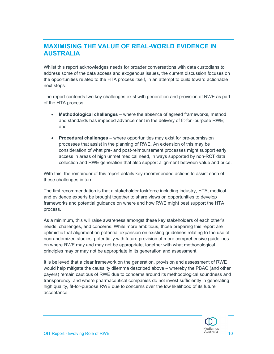#### MAXIMISING THE VALUE OF REAL-WORLD EVIDENCE IN AUSTRALIA

Whilst this report acknowledges needs for broader conversations with data custodians to address some of the data access and exogenous issues, the current discussion focuses on the opportunities related to the HTA process itself, in an attempt to build toward actionable next steps.

The report contends two key challenges exist with generation and provision of RWE as part of the HTA process:

- Methodological challenges where the absence of agreed frameworks, method and standards has impeded advancement in the delivery of fit-for -purpose RWE; and
- Procedural challenges where opportunities may exist for pre-submission processes that assist in the planning of RWE. An extension of this may be consideration of what pre- and post-reimbursement processes might support early access in areas of high unmet medical need, in ways supported by non-RCT data collection and RWE generation that also support alignment between value and price.

With this, the remainder of this report details key recommended actions to assist each of these challenges in turn.

The first recommendation is that a stakeholder taskforce including industry, HTA, medical and evidence experts be brought together to share views on opportunities to develop frameworks and potential guidance on where and how RWE might best support the HTA process.

As a minimum, this will raise awareness amongst these key stakeholders of each other's needs, challenges, and concerns. While more ambitious, those preparing this report are optimistic that alignment on potential expansion on existing guidelines relating to the use of nonrandomized studies, potentially with future provision of more comprehensive guidelines on where RWE may and may not be appropriate, together with what methodological principles may or may not be appropriate in its generation and assessment.

It is believed that a clear framework on the generation, provision and assessment of RWE would help mitigate the causality dilemma described above – whereby the PBAC (and other payers) remain cautious of RWE due to concerns around its methodological soundness and transparency, and where pharmaceutical companies do not invest sufficiently in generating high quality, fit-for-purpose RWE due to concerns over the low likelihood of its future acceptance.

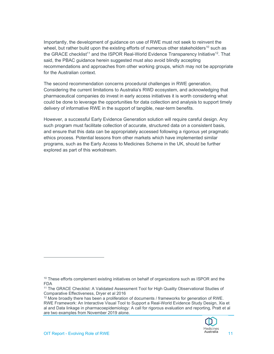Importantly, the development of guidance on use of RWE must not seek to reinvent the wheel, but rather build upon the existing efforts of numerous other stakeholders<sup>10</sup> such as the GRACE checklist<sup>11</sup> and the ISPOR Real-World Evidence Transparency Initiative<sup>12</sup>. That said, the PBAC guidance herein suggested must also avoid blindly accepting recommendations and approaches from other working groups, which may not be appropriate for the Australian context.

The second recommendation concerns procedural challenges in RWE generation. Considering the current limitations to Australia's RWD ecosystem, and acknowledging that pharmaceutical companies do invest in early access initiatives it is worth considering what could be done to leverage the opportunities for data collection and analysis to support timely delivery of informative RWE in the support of tangible, near-term benefits.

However, a successful Early Evidence Generation solution will require careful design. Any such program must facilitate collection of accurate, structured data on a consistent basis, and ensure that this data can be appropriately accessed following a rigorous yet pragmatic ethics process. Potential lessons from other markets which have implemented similar programs, such as the Early Access to Medicines Scheme in the UK, should be further explored as part of this workstream.

<sup>&</sup>lt;sup>12</sup> More broadly there has been a proliferation of documents / frameworks for generation of RWE. RWE Framework: An Interactive Visual Tool to Support a Real-World Evidence Study Design, Xia et al and Data linkage in pharmacoepidemiology: A call for rigorous evaluation and reporting, Pratt et al are two examples from November 2019 alone.



<sup>&</sup>lt;sup>10</sup> These efforts complement existing initiatives on behalf of organizations such as ISPOR and the FDA

<sup>11</sup> The GRACE Checklist: A Validated Assessment Tool for High Quality Observational Studies of Comparative Effectiveness, Dryer et al 2016